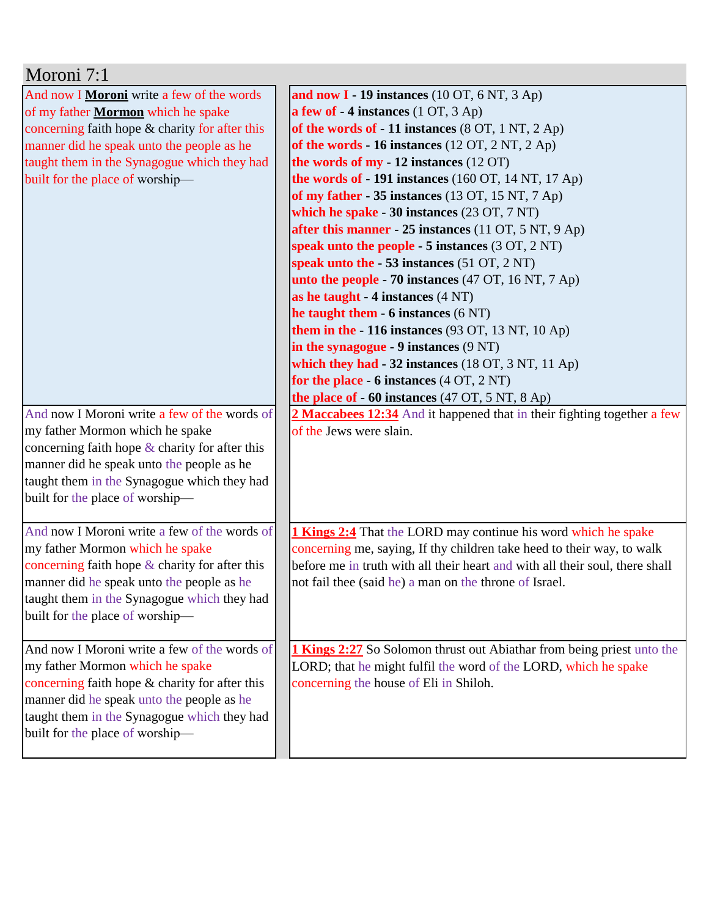| Moroni 7:1                                                                                                                                                                                                                                                                                                                                                                                                                                                                                                                              |                                                                                                                                                                                                                                                                                                                                                                                                                                                                                                                                                                                                                                                                                                                                                                                                                                                                                                                                                                                                                                                                                                |
|-----------------------------------------------------------------------------------------------------------------------------------------------------------------------------------------------------------------------------------------------------------------------------------------------------------------------------------------------------------------------------------------------------------------------------------------------------------------------------------------------------------------------------------------|------------------------------------------------------------------------------------------------------------------------------------------------------------------------------------------------------------------------------------------------------------------------------------------------------------------------------------------------------------------------------------------------------------------------------------------------------------------------------------------------------------------------------------------------------------------------------------------------------------------------------------------------------------------------------------------------------------------------------------------------------------------------------------------------------------------------------------------------------------------------------------------------------------------------------------------------------------------------------------------------------------------------------------------------------------------------------------------------|
| And now I Moroni write a few of the words<br>of my father Mormon which he spake<br>concerning faith hope & charity for after this<br>manner did he speak unto the people as he<br>taught them in the Synagogue which they had<br>built for the place of worship-<br>And now I Moroni write a few of the words of<br>my father Mormon which he spake<br>concerning faith hope $\&$ charity for after this<br>manner did he speak unto the people as he<br>taught them in the Synagogue which they had<br>built for the place of worship- | and now $I - 19$ instances (10 OT, 6 NT, 3 Ap)<br>a few of $-4$ instances (1 OT, 3 Ap)<br>of the words of $-11$ instances (8 OT, 1 NT, 2 Ap)<br>of the words - 16 instances $(12 OT, 2 NT, 2 Ap)$<br>the words of my - 12 instances (12 OT)<br>the words of $-191$ instances (160 OT, 14 NT, 17 Ap)<br>of my father $-35$ instances (13 OT, 15 NT, 7 Ap)<br>which he spake - 30 instances (23 OT, 7 NT)<br>after this manner $-25$ instances (11 OT, 5 NT, 9 Ap)<br>speak unto the people $-5$ instances $(3 OT, 2 NT)$<br>speak unto the $-53$ instances (51 OT, 2 NT)<br>unto the people - 70 instances (47 OT, 16 NT, 7 Ap)<br>as he taught $-4$ instances $(4 \text{ NT})$<br>he taught them - 6 instances (6 NT)<br>them in the $-116$ instances (93 OT, 13 NT, 10 Ap)<br>in the synagogue $-9$ instances $(9 \text{ NT})$<br>which they had $-32$ instances (18 OT, 3 NT, 11 Ap)<br>for the place $-6$ instances $(4 OT, 2 NT)$<br>the place of - 60 instances (47 OT, 5 NT, 8 Ap)<br>2 Maccabees 12:34 And it happened that in their fighting together a few<br>of the Jews were slain. |
| And now I Moroni write a few of the words of<br>my father Mormon which he spake<br>concerning faith hope $\&$ charity for after this<br>manner did he speak unto the people as he<br>taught them in the Synagogue which they had<br>built for the place of worship-                                                                                                                                                                                                                                                                     | <b>1 Kings 2:4</b> That the LORD may continue his word which he spake<br>concerning me, saying, If thy children take heed to their way, to walk<br>before me in truth with all their heart and with all their soul, there shall<br>not fail thee (said he) a man on the throne of Israel.                                                                                                                                                                                                                                                                                                                                                                                                                                                                                                                                                                                                                                                                                                                                                                                                      |
| And now I Moroni write a few of the words of<br>my father Mormon which he spake<br>concerning faith hope & charity for after this<br>manner did he speak unto the people as he<br>taught them in the Synagogue which they had<br>built for the place of worship-                                                                                                                                                                                                                                                                        | <b>1 Kings 2:27</b> So Solomon thrust out Abiathar from being priest unto the<br>LORD; that he might fulfil the word of the LORD, which he spake<br>concerning the house of Eli in Shiloh.                                                                                                                                                                                                                                                                                                                                                                                                                                                                                                                                                                                                                                                                                                                                                                                                                                                                                                     |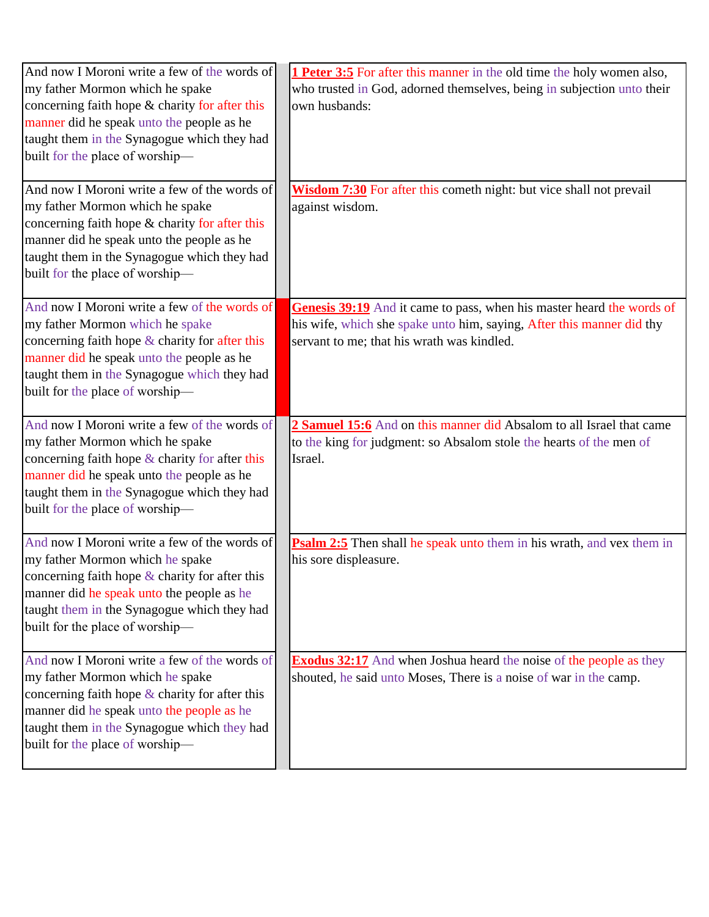| And now I Moroni write a few of the words of<br>my father Mormon which he spake<br>concerning faith hope & charity for after this<br>manner did he speak unto the people as he<br>taught them in the Synagogue which they had<br>built for the place of worship-<br>And now I Moroni write a few of the words of<br>my father Mormon which he spake<br>concerning faith hope & charity for after this<br>manner did he speak unto the people as he<br>taught them in the Synagogue which they had<br>built for the place of worship- | <b>1 Peter 3:5</b> For after this manner in the old time the holy women also,<br>who trusted in God, adorned themselves, being in subjection unto their<br>own husbands:<br><b>Wisdom 7:30</b> For after this cometh night: but vice shall not prevail<br>against wisdom. |
|--------------------------------------------------------------------------------------------------------------------------------------------------------------------------------------------------------------------------------------------------------------------------------------------------------------------------------------------------------------------------------------------------------------------------------------------------------------------------------------------------------------------------------------|---------------------------------------------------------------------------------------------------------------------------------------------------------------------------------------------------------------------------------------------------------------------------|
| And now I Moroni write a few of the words of<br>my father Mormon which he spake<br>concerning faith hope $\&$ charity for after this<br>manner did he speak unto the people as he<br>taught them in the Synagogue which they had<br>built for the place of worship-                                                                                                                                                                                                                                                                  | Genesis 39:19 And it came to pass, when his master heard the words of<br>his wife, which she spake unto him, saying, After this manner did thy<br>servant to me; that his wrath was kindled.                                                                              |
| And now I Moroni write a few of the words of<br>my father Mormon which he spake<br>concerning faith hope $\&$ charity for after this<br>manner did he speak unto the people as he<br>taught them in the Synagogue which they had<br>built for the place of worship-                                                                                                                                                                                                                                                                  | 2 Samuel 15:6 And on this manner did Absalom to all Israel that came<br>to the king for judgment: so Absalom stole the hearts of the men of<br>Israel.                                                                                                                    |
| And now I Moroni write a few of the words of<br>my father Mormon which he spake<br>concerning faith hope $\&$ charity for after this<br>manner did he speak unto the people as he<br>taught them in the Synagogue which they had<br>built for the place of worship-                                                                                                                                                                                                                                                                  | <b>Psalm 2:5</b> Then shall he speak unto them in his wrath, and vex them in<br>his sore displeasure.                                                                                                                                                                     |
| And now I Moroni write a few of the words of<br>my father Mormon which he spake<br>concerning faith hope $\&$ charity for after this<br>manner did he speak unto the people as he<br>taught them in the Synagogue which they had<br>built for the place of worship-                                                                                                                                                                                                                                                                  | <b>Exodus 32:17</b> And when Joshua heard the noise of the people as they<br>shouted, he said unto Moses, There is a noise of war in the camp.                                                                                                                            |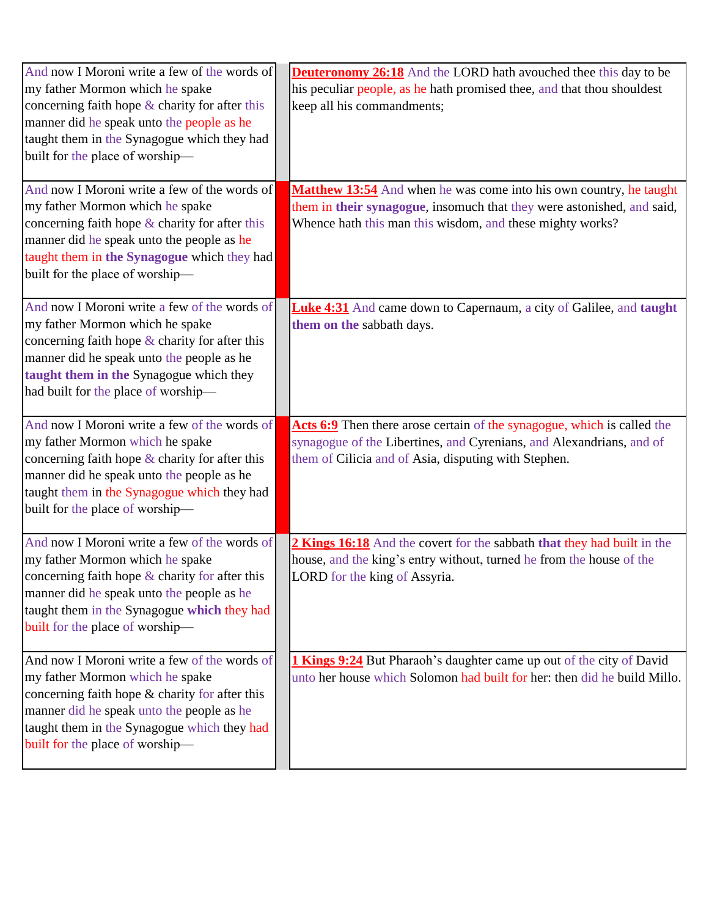| And now I Moroni write a few of the words of<br>my father Mormon which he spake<br>concerning faith hope $\&$ charity for after this<br>manner did he speak unto the people as he<br>taught them in the Synagogue which they had<br>built for the place of worship- | <b>Deuteronomy 26:18</b> And the LORD hath avouched thee this day to be<br>his peculiar people, as he hath promised thee, and that thou shouldest<br>keep all his commandments;                                  |
|---------------------------------------------------------------------------------------------------------------------------------------------------------------------------------------------------------------------------------------------------------------------|------------------------------------------------------------------------------------------------------------------------------------------------------------------------------------------------------------------|
| And now I Moroni write a few of the words of<br>my father Mormon which he spake<br>concerning faith hope $\&$ charity for after this<br>manner did he speak unto the people as he<br>taught them in the Synagogue which they had<br>built for the place of worship- | <b>Matthew 13:54</b> And when he was come into his own country, he taught<br>them in their synagogue, insomuch that they were astonished, and said,<br>Whence hath this man this wisdom, and these mighty works? |
| And now I Moroni write a few of the words of<br>my father Mormon which he spake<br>concerning faith hope $\&$ charity for after this<br>manner did he speak unto the people as he<br>taught them in the Synagogue which they<br>had built for the place of worship- | <b>Luke 4:31</b> And came down to Capernaum, a city of Galilee, and taught<br>them on the sabbath days.                                                                                                          |
| And now I Moroni write a few of the words of<br>my father Mormon which he spake<br>concerning faith hope $\&$ charity for after this<br>manner did he speak unto the people as he<br>taught them in the Synagogue which they had<br>built for the place of worship- | Acts 6:9 Then there arose certain of the synagogue, which is called the<br>synagogue of the Libertines, and Cyrenians, and Alexandrians, and of<br>them of Cilicia and of Asia, disputing with Stephen.          |
| And now I Moroni write a few of the words of<br>my father Mormon which he spake<br>concerning faith hope $\&$ charity for after this<br>manner did he speak unto the people as he<br>taught them in the Synagogue which they had<br>built for the place of worship- | 2 Kings 16:18 And the covert for the sabbath that they had built in the<br>house, and the king's entry without, turned he from the house of the<br>LORD for the king of Assyria.                                 |
| And now I Moroni write a few of the words of<br>my father Mormon which he spake<br>concerning faith hope & charity for after this<br>manner did he speak unto the people as he<br>taught them in the Synagogue which they had<br>built for the place of worship-    | <b>1 Kings 9:24</b> But Pharaoh's daughter came up out of the city of David<br>unto her house which Solomon had built for her: then did he build Millo.                                                          |